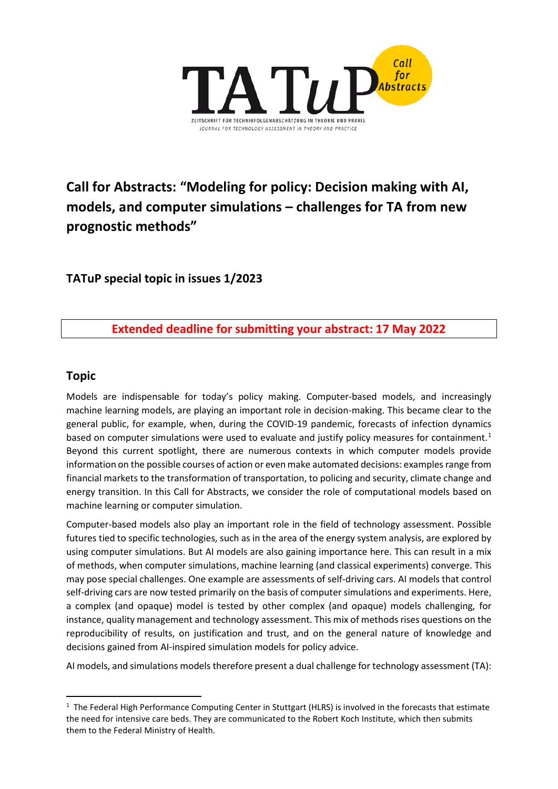

**Call for Abstracts: "Modeling for policy: Decision making with AI, models, and computer simulations – challenges for TA from new prognostic methods"**

**TATuP special topic in issues 1/2023**

# **Extended deadline for submitting your abstract: 17 May 2022**

## **Topic**

Models are indispensable for today's policy making. Computer-based models, and increasingly machine learning models, are playing an important role in decision-making. This became clear to the general public, for example, when, during the COVID-19 pandemic, forecasts of infection dynamics based on computer simulations were used to evaluate and justify policy measures for containment.<sup>[1](#page-0-0)</sup> Beyond this current spotlight, there are numerous contexts in which computer models provide information on the possible courses of action or even make automated decisions: examples range from financial markets to the transformation of transportation, to policing and security, climate change and energy transition. In this Call for Abstracts, we consider the role of computational models based on machine learning or computer simulation.

Computer-based models also play an important role in the field of technology assessment. Possible futures tied to specific technologies, such as in the area of the energy system analysis, are explored by using computer simulations. But AI models are also gaining importance here. This can result in a mix of methods, when computer simulations, machine learning (and classical experiments) converge. This may pose special challenges. One example are assessments of self-driving cars. AI models that control self-driving cars are now tested primarily on the basis of computer simulations and experiments. Here, a complex (and opaque) model is tested by other complex (and opaque) models challenging, for instance, quality management and technology assessment. This mix of methods rises questions on the reproducibility of results, on justification and trust, and on the general nature of knowledge and decisions gained from AI-inspired simulation models for policy advice.

AI models, and simulations models therefore present a dual challenge for technology assessment (TA):

<span id="page-0-0"></span> $\overline{1}$  $1$  The Federal High Performance Computing Center in Stuttgart (HLRS) is involved in the forecasts that estimate the need for intensive care beds. They are communicated to the Robert Koch Institute, which then submits them to the Federal Ministry of Health.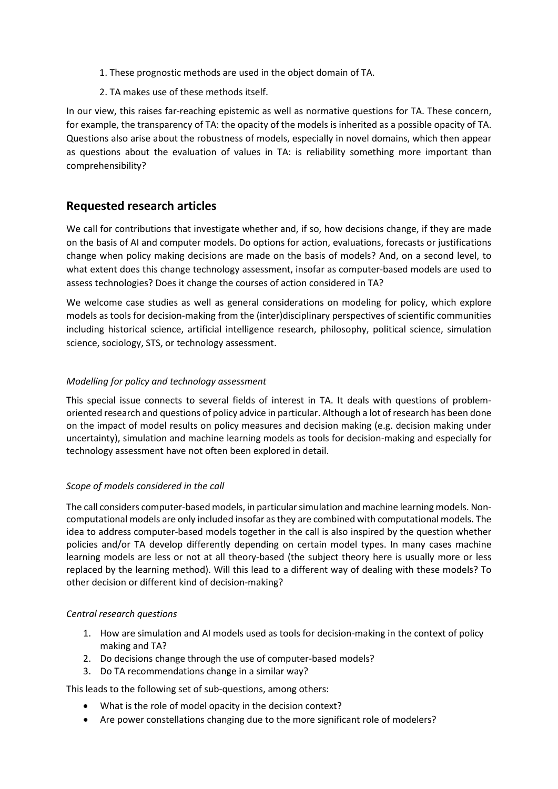- 1. These prognostic methods are used in the object domain of TA.
- 2. TA makes use of these methods itself.

In our view, this raises far-reaching epistemic as well as normative questions for TA. These concern, for example, the transparency of TA: the opacity of the models is inherited as a possible opacity of TA. Questions also arise about the robustness of models, especially in novel domains, which then appear as questions about the evaluation of values in TA: is reliability something more important than comprehensibility?

## **Requested research articles**

We call for contributions that investigate whether and, if so, how decisions change, if they are made on the basis of AI and computer models. Do options for action, evaluations, forecasts or justifications change when policy making decisions are made on the basis of models? And, on a second level, to what extent does this change technology assessment, insofar as computer-based models are used to assess technologies? Does it change the courses of action considered in TA?

We welcome case studies as well as general considerations on modeling for policy, which explore models as tools for decision-making from the (inter)disciplinary perspectives of scientific communities including historical science, artificial intelligence research, philosophy, political science, simulation science, sociology, STS, or technology assessment.

#### *Modelling for policy and technology assessment*

This special issue connects to several fields of interest in TA. It deals with questions of problemoriented research and questions of policy advice in particular. Although a lot of research has been done on the impact of model results on policy measures and decision making (e.g. decision making under uncertainty), simulation and machine learning models as tools for decision-making and especially for technology assessment have not often been explored in detail.

#### *Scope of models considered in the call*

The call considers computer-based models, in particular simulation and machine learning models. Noncomputational models are only included insofar as they are combined with computational models. The idea to address computer-based models together in the call is also inspired by the question whether policies and/or TA develop differently depending on certain model types. In many cases machine learning models are less or not at all theory-based (the subject theory here is usually more or less replaced by the learning method). Will this lead to a different way of dealing with these models? To other decision or different kind of decision-making?

#### *Central research questions*

- 1. How are simulation and AI models used as tools for decision-making in the context of policy making and TA?
- 2. Do decisions change through the use of computer-based models?
- 3. Do TA recommendations change in a similar way?

This leads to the following set of sub-questions, among others:

- What is the role of model opacity in the decision context?
- Are power constellations changing due to the more significant role of modelers?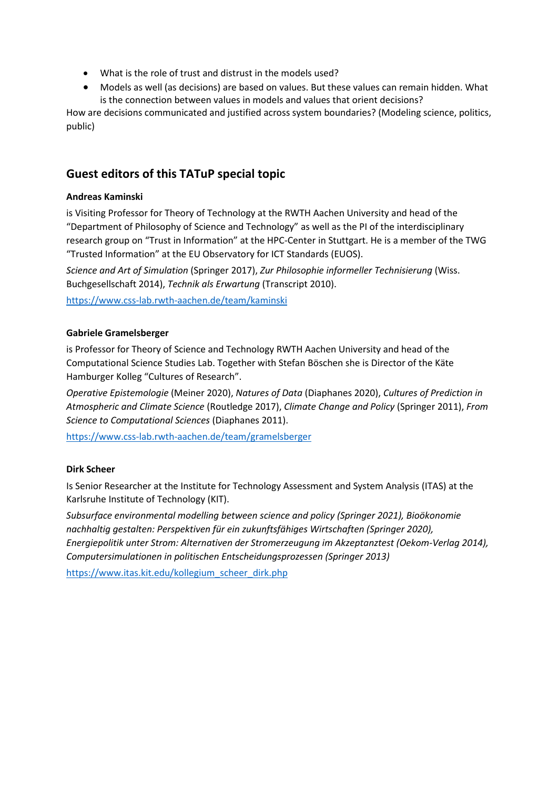- What is the role of trust and distrust in the models used?
- Models as well (as decisions) are based on values. But these values can remain hidden. What is the connection between values in models and values that orient decisions?

How are decisions communicated and justified across system boundaries? (Modeling science, politics, public)

# **Guest editors of this TATuP special topic**

### **Andreas Kaminski**

is Visiting Professor for Theory of Technology at the RWTH Aachen University and head of the "Department of Philosophy of Science and Technology" as well as the PI of the interdisciplinary research group on "Trust in Information" at the HPC-Center in Stuttgart. He is a member of the TWG "Trusted Information" at the EU Observatory for ICT Standards (EUOS).

*Science and Art of Simulation* (Springer 2017), *Zur Philosophie informeller Technisierung* (Wiss. Buchgesellschaft 2014), *Technik als Erwartung* (Transcript 2010).

<https://www.css-lab.rwth-aachen.de/team/kaminski>

### **Gabriele Gramelsberger**

is Professor for Theory of Science and Technology RWTH Aachen University and head of the Computational Science Studies Lab. Together with Stefan Böschen she is Director of the Käte Hamburger Kolleg "Cultures of Research".

*Operative Epistemologie* (Meiner 2020), *Natures of Data* (Diaphanes 2020), *Cultures of Prediction in Atmospheric and Climate Science* (Routledge 2017), *Climate Change and Policy* (Springer 2011), *From Science to Computational Sciences* (Diaphanes 2011).

<https://www.css-lab.rwth-aachen.de/team/gramelsberger>

### **Dirk Scheer**

Is Senior Researcher at the Institute for Technology Assessment and System Analysis (ITAS) at the Karlsruhe Institute of Technology (KIT).

*Subsurface environmental modelling between science and policy (Springer 2021), Bioökonomie nachhaltig gestalten: Perspektiven für ein zukunftsfähiges Wirtschaften (Springer 2020), Energiepolitik unter Strom: Alternativen der Stromerzeugung im Akzeptanztest (Oekom-Verlag 2014), Computersimulationen in politischen Entscheidungsprozessen (Springer 2013)*

[https://www.itas.kit.edu/kollegium\\_scheer\\_dirk.php](https://www.itas.kit.edu/kollegium_scheer_dirk.php)